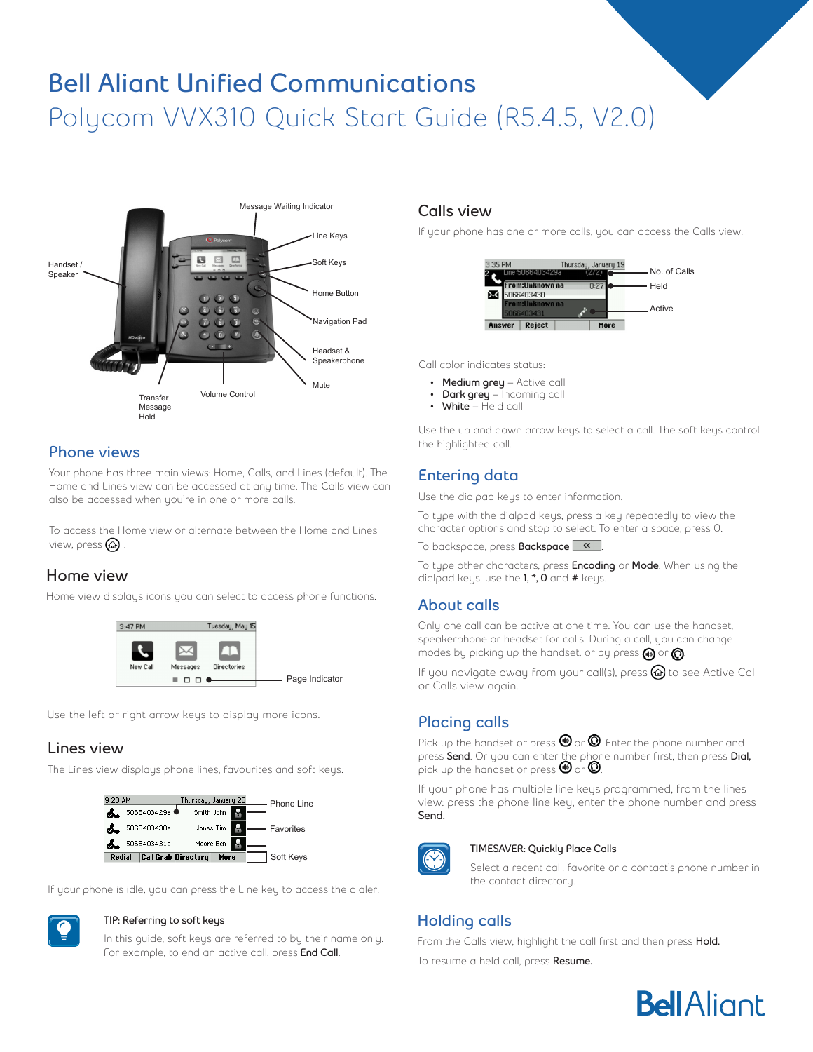# **Bell Aliant Unified Communications** Polycom VVX310 Quick Start Guide (R5.4.5, V2.0)



#### **Phone views**

Your phone has three main views: Home, Calls, and Lines (default). The Home and Lines view can be accessed at any time. The Calls view can also be accessed when you're in one or more calls.

To access the Home view or alternate between the Home and Lines view, press  $\textcircled{a}$ 

# **Home view**

Home view displays icons you can select to access phone functions.



Use the left or right arrow keys to display more icons.

#### **Lines view**

The Lines view displays phone lines, favourites and soft keys.



If your phone is idle, you can press the Line key to access the dialer.



#### **TIP: Referring to soft keys**

In this guide, soft keys are referred to by their name only. For example, to end an active call, press **End Call.** 

#### **Calls view**

If your phone has one or more calls, you can access the Calls view.



Call color indicates status:

- **• Medium grey** Active call
- **• Dark grey** Incoming call
- **• White** Held call

Use the up and down arrow keys to select a call. The soft keys control the highlighted call.

# **Entering data**

Use the dialpad keys to enter information.

To type with the dialpad keys, press a key repeatedly to view the character options and stop to select. To enter a space, press 0.

To backspace, press **Backspace** .

To type other characters, press **Encoding** or **Mode**. When using the dialpad keys, use the **1, \*, 0** and **#** keys.

#### **About calls**

Only one call can be active at one time. You can use the handset, speakerphone or headset for calls. During a call, you can change modes by picking up the handset, or by press  $\textcircled{\small{a}}$  or  $\textcircled{\small{b}}$ .

If you navigate away from your call(s), press  $\circledast$  to see Active Call or Calls view again.

# **Placing calls**

Pick up the handset or press  $\bm{\mathbb{\Theta}}$  or  $\bm{\mathbb{O}}$ . Enter the phone number and press Send. Or you can enter the phone number first, then press Dial, pick up the handset or press  $\bm{\Theta}$  or  $\bm{\mathsf{Q}}$ .

If your phone has multiple line keys programmed, from the lines view: press the phone line key, enter the phone number and press **Send.**



#### **TIMESAVER: Quickly Place Calls**

Select a recent call, favorite or a contact's phone number in the contact directory.

# **Holding calls**

From the Calls view, highlight the call first and then press **Hold.**

To resume a held call, press **Resume.**